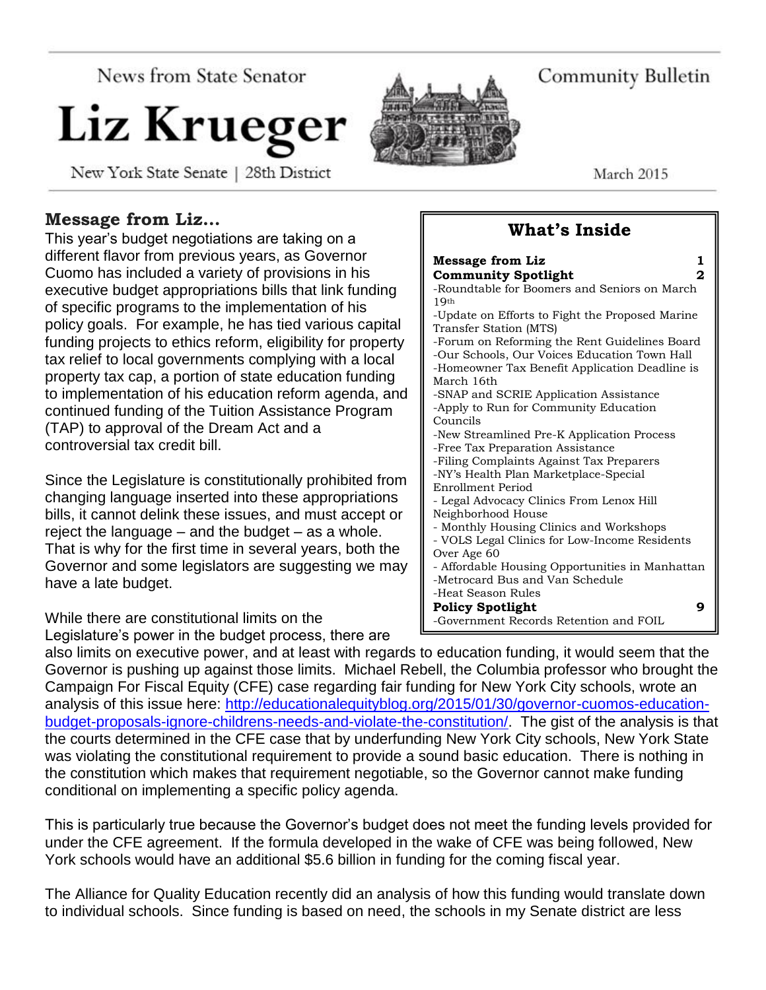News from State Senator

# Liz Krueger

New York State Senate | 28th District

Community Bulletin

March 2015

# **Message from Liz…**

This year's budget negotiations are taking on a different flavor from previous years, as Governor Cuomo has included a variety of provisions in his executive budget appropriations bills that link funding of specific programs to the implementation of his policy goals. For example, he has tied various capital funding projects to ethics reform, eligibility for property tax relief to local governments complying with a local property tax cap, a portion of state education funding to implementation of his education reform agenda, and continued funding of the Tuition Assistance Program (TAP) to approval of the Dream Act and a controversial tax credit bill.

Since the Legislature is constitutionally prohibited from changing language inserted into these appropriations bills, it cannot delink these issues, and must accept or reject the language – and the budget – as a whole. That is why for the first time in several years, both the Governor and some legislators are suggesting we may have a late budget.

While there are constitutional limits on the Legislature's power in the budget process, there are

| <b>Message from Liz</b><br>1                    |
|-------------------------------------------------|
| 2<br><b>Community Spotlight</b>                 |
| -Roundtable for Boomers and Seniors on March    |
| 19 <sub>th</sub>                                |
| -Update on Efforts to Fight the Proposed Marine |
| Transfer Station (MTS)                          |
| -Forum on Reforming the Rent Guidelines Board   |
| -Our Schools, Our Voices Education Town Hall    |
| -Homeowner Tax Benefit Application Deadline is  |
| March 16th                                      |
| -SNAP and SCRIE Application Assistance          |
| -Apply to Run for Community Education           |
| Councils                                        |
| -New Streamlined Pre-K Application Process      |
| -Free Tax Preparation Assistance                |
| -Filing Complaints Against Tax Preparers        |
| -NY's Health Plan Marketplace-Special           |
| Enrollment Period                               |
| - Legal Advocacy Clinics From Lenox Hill        |
| Neighborhood House                              |
| - Monthly Housing Clinics and Workshops         |
| - VOLS Legal Clinics for Low-Income Residents   |
| Over Age 60                                     |
| - Affordable Housing Opportunities in Manhattan |
| -Metrocard Bus and Van Schedule                 |
| -Heat Season Rules                              |
| <b>Policy Spotlight</b><br>g                    |
| -Government Records Retention and FOIL          |

**What's Inside**

also limits on executive power, and at least with regards to education funding, it would seem that the Governor is pushing up against those limits. Michael Rebell, the Columbia professor who brought the Campaign For Fiscal Equity (CFE) case regarding fair funding for New York City schools, wrote an analysis of this issue here: [http://educationalequityblog.org/2015/01/30/governor-cuomos-education](http://educationalequityblog.org/2015/01/30/governor-cuomos-education-budget-proposals-ignore-childrens-needs-and-violate-the-constitution/)[budget-proposals-ignore-childrens-needs-and-violate-the-constitution/.](http://educationalequityblog.org/2015/01/30/governor-cuomos-education-budget-proposals-ignore-childrens-needs-and-violate-the-constitution/) The gist of the analysis is that the courts determined in the CFE case that by underfunding New York City schools, New York State was violating the constitutional requirement to provide a sound basic education. There is nothing in the constitution which makes that requirement negotiable, so the Governor cannot make funding conditional on implementing a specific policy agenda.

This is particularly true because the Governor's budget does not meet the funding levels provided for under the CFE agreement. If the formula developed in the wake of CFE was being followed, New York schools would have an additional \$5.6 billion in funding for the coming fiscal year.

The Alliance for Quality Education recently did an analysis of how this funding would translate down to individual schools. Since funding is based on need, the schools in my Senate district are less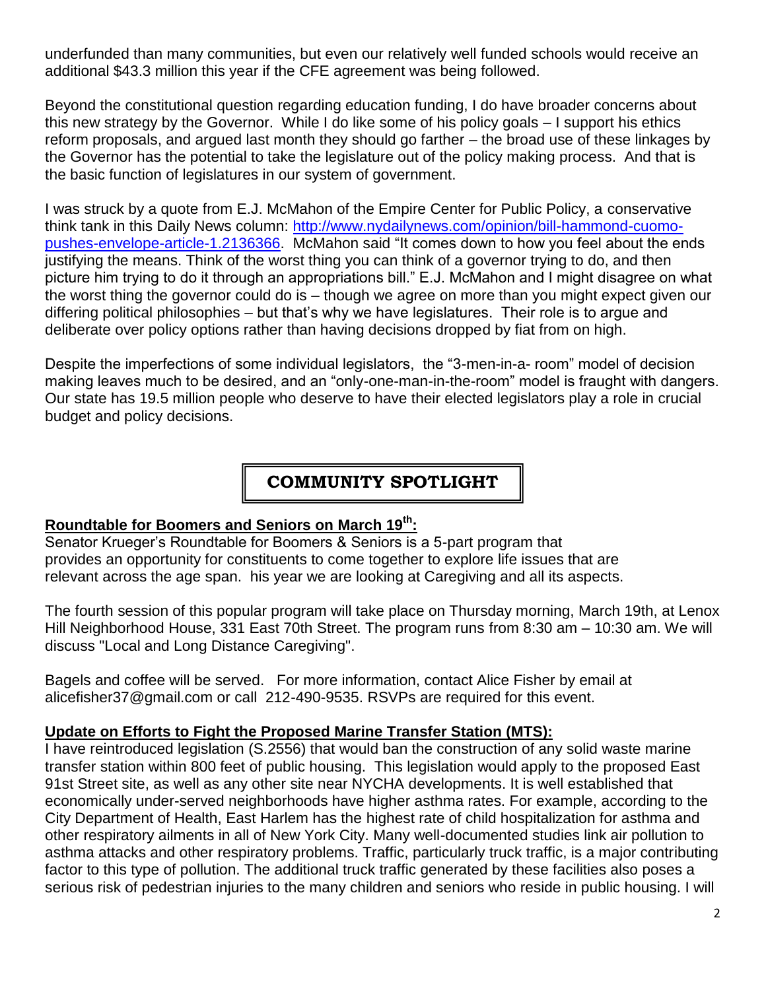underfunded than many communities, but even our relatively well funded schools would receive an additional \$43.3 million this year if the CFE agreement was being followed.

Beyond the constitutional question regarding education funding, I do have broader concerns about this new strategy by the Governor. While I do like some of his policy goals – I support his ethics reform proposals, and argued last month they should go farther – the broad use of these linkages by the Governor has the potential to take the legislature out of the policy making process. And that is the basic function of legislatures in our system of government.

I was struck by a quote from E.J. McMahon of the Empire Center for Public Policy, a conservative think tank in this Daily News column: [http://www.nydailynews.com/opinion/bill-hammond-cuomo](http://www.nydailynews.com/opinion/bill-hammond-cuomo-pushes-envelope-article-1.2136366)[pushes-envelope-article-1.2136366.](http://www.nydailynews.com/opinion/bill-hammond-cuomo-pushes-envelope-article-1.2136366) McMahon said "It comes down to how you feel about the ends justifying the means. Think of the worst thing you can think of a governor trying to do, and then picture him trying to do it through an appropriations bill." E.J. McMahon and I might disagree on what the worst thing the governor could do is – though we agree on more than you might expect given our differing political philosophies – but that's why we have legislatures. Their role is to argue and deliberate over policy options rather than having decisions dropped by fiat from on high.

Despite the imperfections of some individual legislators, the "3-men-in-a- room" model of decision making leaves much to be desired, and an "only-one-man-in-the-room" model is fraught with dangers. Our state has 19.5 million people who deserve to have their elected legislators play a role in crucial budget and policy decisions.

# **COMMUNITY SPOTLIGHT**

#### **Roundtable for Boomers and Seniors on March 19th:**

Senator Krueger's Roundtable for Boomers & Seniors is a 5-part program that provides an opportunity for constituents to come together to explore life issues that are relevant across the age span. his year we are looking at Caregiving and all its aspects.

The fourth session of this popular program will take place on Thursday morning, March 19th, at Lenox Hill Neighborhood House, 331 East 70th Street. The program runs from 8:30 am – 10:30 am. We will discuss "Local and Long Distance Caregiving".

Bagels and coffee will be served. For more information, contact Alice Fisher by email at alicefisher37@gmail.com or call 212-490-9535. RSVPs are required for this event.

#### **Update on Efforts to Fight the Proposed Marine Transfer Station (MTS):**

I have reintroduced legislation (S.2556) that would ban the construction of any solid waste marine transfer station within 800 feet of public housing. This legislation would apply to the proposed East 91st Street site, as well as any other site near NYCHA developments. It is well established that economically under-served neighborhoods have higher asthma rates. For example, according to the City Department of Health, East Harlem has the highest rate of child hospitalization for asthma and other respiratory ailments in all of New York City. Many well-documented studies link air pollution to asthma attacks and other respiratory problems. Traffic, particularly truck traffic, is a major contributing factor to this type of pollution. The additional truck traffic generated by these facilities also poses a serious risk of pedestrian injuries to the many children and seniors who reside in public housing. I will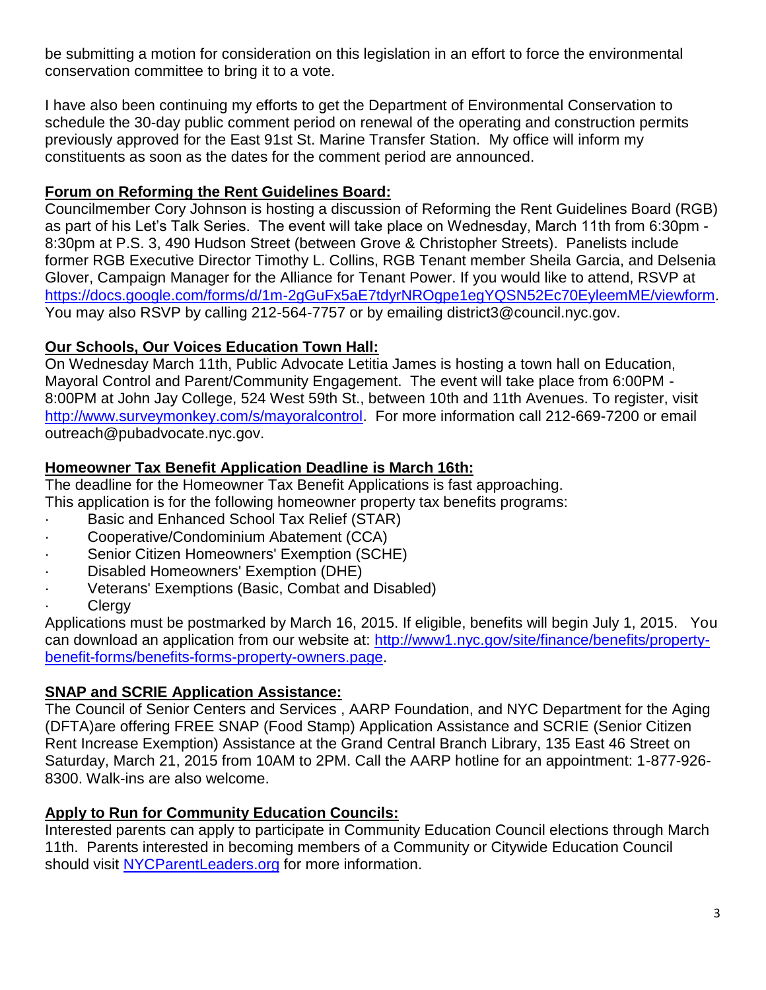be submitting a motion for consideration on this legislation in an effort to force the environmental conservation committee to bring it to a vote.

I have also been continuing my efforts to get the Department of Environmental Conservation to schedule the 30-day public comment period on renewal of the operating and construction permits previously approved for the East 91st St. Marine Transfer Station. My office will inform my constituents as soon as the dates for the comment period are announced.

#### **Forum on Reforming the Rent Guidelines Board:**

Councilmember Cory Johnson is hosting a discussion of Reforming the Rent Guidelines Board (RGB) as part of his Let's Talk Series. The event will take place on Wednesday, March 11th from 6:30pm - 8:30pm at P.S. 3, 490 Hudson Street (between Grove & Christopher Streets). Panelists include former RGB Executive Director Timothy L. Collins, RGB Tenant member Sheila Garcia, and Delsenia Glover, Campaign Manager for the Alliance for Tenant Power. If you would like to attend, RSVP at [https://docs.google.com/forms/d/1m-2gGuFx5aE7tdyrNROgpe1egYQSN52Ec70EyleemME/viewform.](https://docs.google.com/forms/d/1m-2gGuFx5aE7tdyrNROgpe1egYQSN52Ec70EyleemME/viewform) You may also RSVP by calling 212-564-7757 or by emailing district3@council.nyc.gov.

#### **Our Schools, Our Voices Education Town Hall:**

On Wednesday March 11th, Public Advocate Letitia James is hosting a town hall on Education, Mayoral Control and Parent/Community Engagement. The event will take place from 6:00PM - 8:00PM at John Jay College, 524 West 59th St., between 10th and 11th Avenues. To register, visit [http://www.surveymonkey.com/s/mayoralcontrol.](http://www.surveymonkey.com/s/mayoralcontrol) For more information call 212-669-7200 or email outreach@pubadvocate.nyc.gov.

### **Homeowner Tax Benefit Application Deadline is March 16th:**

The deadline for the Homeowner Tax Benefit Applications is fast approaching.

This application is for the following homeowner property tax benefits programs:

- Basic and Enhanced School Tax Relief (STAR)
- · Cooperative/Condominium Abatement (CCA)
- Senior Citizen Homeowners' Exemption (SCHE)
- · Disabled Homeowners' Exemption (DHE)
- · Veterans' Exemptions (Basic, Combat and Disabled)
- **Clergy**

Applications must be postmarked by March 16, 2015. If eligible, benefits will begin July 1, 2015. You can download an application from our website at: [http://www1.nyc.gov/site/finance/benefits/property](http://www1.nyc.gov/site/finance/benefits/property-benefit-forms/benefits-forms-property-owners.page)[benefit-forms/benefits-forms-property-owners.page.](http://www1.nyc.gov/site/finance/benefits/property-benefit-forms/benefits-forms-property-owners.page)

#### **SNAP and SCRIE Application Assistance:**

The Council of Senior Centers and Services , AARP Foundation, and NYC Department for the Aging (DFTA)are offering FREE SNAP (Food Stamp) Application Assistance and SCRIE (Senior Citizen Rent Increase Exemption) Assistance at the Grand Central Branch Library, 135 East 46 Street on Saturday, March 21, 2015 from 10AM to 2PM. Call the AARP hotline for an appointment: 1-877-926- 8300. Walk-ins are also welcome.

#### **Apply to Run for Community Education Councils:**

Interested parents can apply to participate in Community Education Council elections through March 11th. Parents interested in becoming members of a Community or Citywide Education Council should visit [NYCParentLeaders.org](http://nycparentleaders.org/) for more information.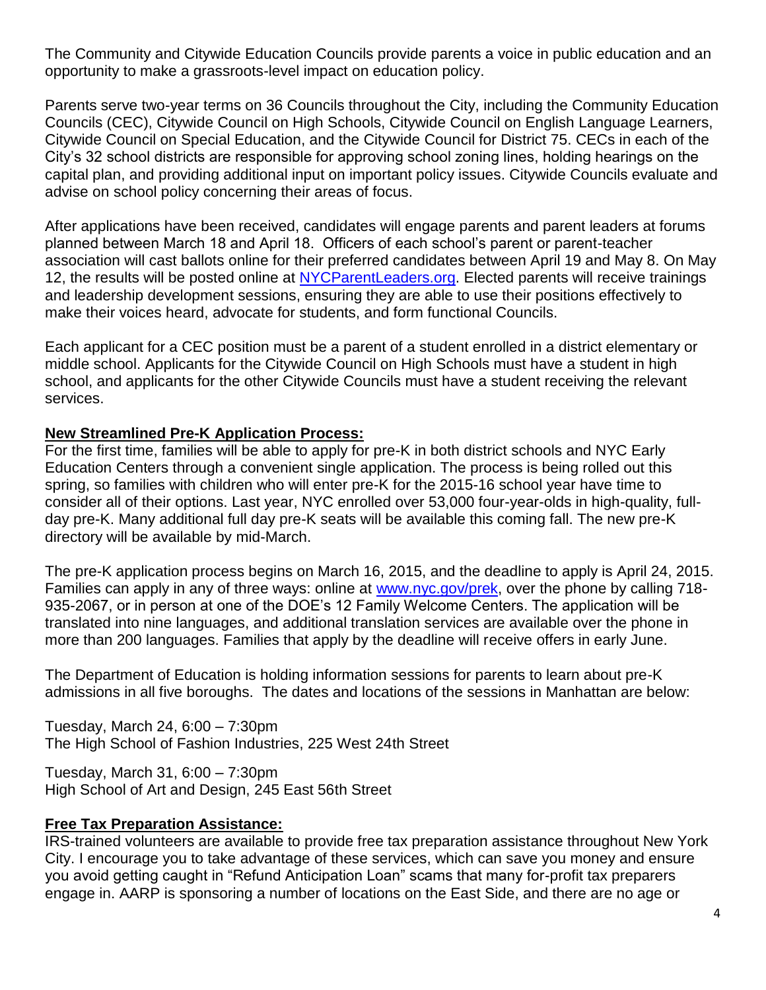The Community and Citywide Education Councils provide parents a voice in public education and an opportunity to make a grassroots-level impact on education policy.

Parents serve two-year terms on 36 Councils throughout the City, including the Community Education Councils (CEC), Citywide Council on High Schools, Citywide Council on English Language Learners, Citywide Council on Special Education, and the Citywide Council for District 75. CECs in each of the City's 32 school districts are responsible for approving school zoning lines, holding hearings on the capital plan, and providing additional input on important policy issues. Citywide Councils evaluate and advise on school policy concerning their areas of focus.

After applications have been received, candidates will engage parents and parent leaders at forums planned between March 18 and April 18. Officers of each school's parent or parent-teacher association will cast ballots online for their preferred candidates between April 19 and May 8. On May 12, the results will be posted online at [NYCParentLeaders.org.](http://nycparentleaders.org/) Elected parents will receive trainings and leadership development sessions, ensuring they are able to use their positions effectively to make their voices heard, advocate for students, and form functional Councils.

Each applicant for a CEC position must be a parent of a student enrolled in a district elementary or middle school. Applicants for the Citywide Council on High Schools must have a student in high school, and applicants for the other Citywide Councils must have a student receiving the relevant services.

#### **New Streamlined Pre-K Application Process:**

For the first time, families will be able to apply for pre-K in both district schools and NYC Early Education Centers through a convenient single application. The process is being rolled out this spring, so families with children who will enter pre-K for the 2015-16 school year have time to consider all of their options. Last year, NYC enrolled over 53,000 four-year-olds in high-quality, fullday pre-K. Many additional full day pre-K seats will be available this coming fall. The new pre-K directory will be available by mid-March.

The pre-K application process begins on March 16, 2015, and the deadline to apply is April 24, 2015. Families can apply in any of three ways: online at [www.nyc.gov/prek,](http://www.nyc.gov/prek) over the phone by calling 718-935-2067, or in person at one of the DOE's 12 Family Welcome Centers. The application will be translated into nine languages, and additional translation services are available over the phone in more than 200 languages. Families that apply by the deadline will receive offers in early June.

The Department of Education is holding information sessions for parents to learn about pre-K admissions in all five boroughs. The dates and locations of the sessions in Manhattan are below:

Tuesday, March 24, 6:00 – 7:30pm The High School of Fashion Industries, 225 West 24th Street

Tuesday, March 31, 6:00 – 7:30pm High School of Art and Design, 245 East 56th Street

#### **Free Tax Preparation Assistance:**

IRS-trained volunteers are available to provide free tax preparation assistance throughout New York City. I encourage you to take advantage of these services, which can save you money and ensure you avoid getting caught in "Refund Anticipation Loan" scams that many for-profit tax preparers engage in. AARP is sponsoring a number of locations on the East Side, and there are no age or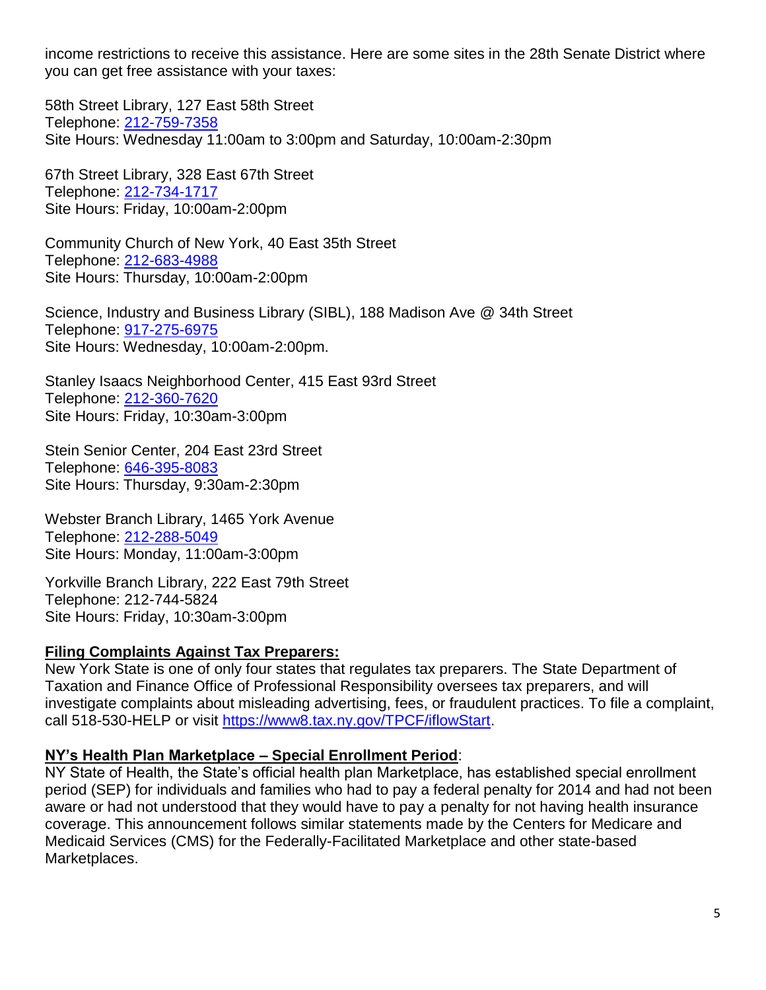income restrictions to receive this assistance. Here are some sites in the 28th Senate District where you can get free assistance with your taxes:

58th Street Library, 127 East 58th Street Telephone: [212-759-7358](tel:212-759-7358) Site Hours: Wednesday 11:00am to 3:00pm and Saturday, 10:00am-2:30pm

67th Street Library, 328 East 67th Street Telephone: [212-734-1717](tel:212-734-1717) Site Hours: Friday, 10:00am-2:00pm

Community Church of New York, 40 East 35th Street Telephone: [212-683-4988](tel:212-683-4988) Site Hours: Thursday, 10:00am-2:00pm

Science, Industry and Business Library (SIBL), 188 Madison Ave @ 34th Street Telephone: 917-275-6975 Site Hours: Wednesday, 10:00am-2:00pm.

Stanley Isaacs Neighborhood Center, 415 East 93rd Street Telephone: [212-360-7620](tel:212-360-7620) Site Hours: Friday, 10:30am-3:00pm

Stein Senior Center, 204 East 23rd Street Telephone: [646-395-8083](tel:646-395-8083) Site Hours: Thursday, 9:30am-2:30pm

Webster Branch Library, 1465 York Avenue Telephone: [212-288-5049](tel:212-288-5049) Site Hours: Monday, 11:00am-3:00pm

Yorkville Branch Library, 222 East 79th Street Telephone: 212-744-5824 Site Hours: Friday, 10:30am-3:00pm

#### **Filing Complaints Against Tax Preparers:**

New York State is one of only four states that regulates tax preparers. The State Department of Taxation and Finance Office of Professional Responsibility oversees tax preparers, and will investigate complaints about misleading advertising, fees, or fraudulent practices. To file a complaint, call 518-530-HELP or visit [https://www8.tax.ny.gov/TPCF/iflowStart.](https://www8.tax.ny.gov/TPCF/iflowStart)

#### **NY's Health Plan Marketplace – Special Enrollment Period**:

NY State of Health, the State's official health plan Marketplace, has established special enrollment period (SEP) for individuals and families who had to pay a federal penalty for 2014 and had not been aware or had not understood that they would have to pay a penalty for not having health insurance coverage. This announcement follows similar statements made by the Centers for Medicare and Medicaid Services (CMS) for the Federally-Facilitated Marketplace and other state-based Marketplaces.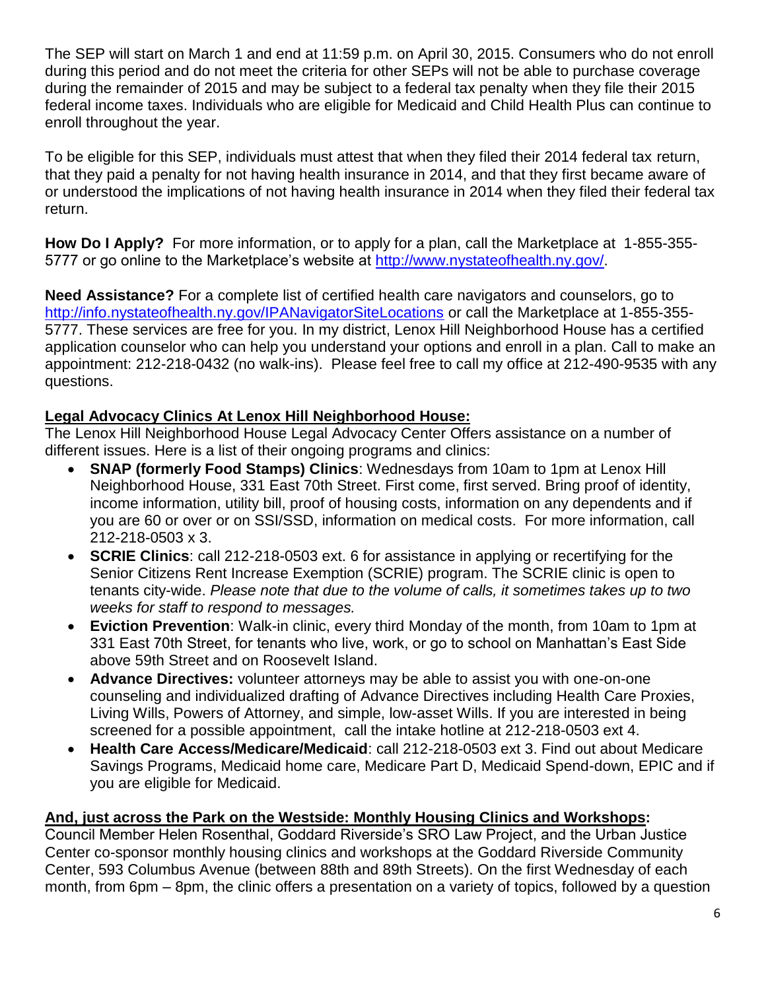The SEP will start on March 1 and end at 11:59 p.m. on April 30, 2015. Consumers who do not enroll during this period and do not meet the criteria for other SEPs will not be able to purchase coverage during the remainder of 2015 and may be subject to a federal tax penalty when they file their 2015 federal income taxes. Individuals who are eligible for Medicaid and Child Health Plus can continue to enroll throughout the year.

To be eligible for this SEP, individuals must attest that when they filed their 2014 federal tax return, that they paid a penalty for not having health insurance in 2014, and that they first became aware of or understood the implications of not having health insurance in 2014 when they filed their federal tax return.

**How Do I Apply?** For more information, or to apply for a plan, call the Marketplace at 1-855-355 5777 or go online to the Marketplace's website at [http://www.nystateofhealth.ny.gov/.](http://www.nystateofhealth.ny.gov/)

**Need Assistance?** For a complete list of certified health care navigators and counselors, go to <http://info.nystateofhealth.ny.gov/IPANavigatorSiteLocations> or call the Marketplace at 1-855-355- 5777. These services are free for you. In my district, Lenox Hill Neighborhood House has a certified application counselor who can help you understand your options and enroll in a plan. Call to make an appointment: 212-218-0432 (no walk-ins). Please feel free to call my office at 212-490-9535 with any questions.

## **Legal Advocacy Clinics At Lenox Hill Neighborhood House:**

The Lenox Hill Neighborhood House Legal Advocacy Center Offers assistance on a number of different issues. Here is a list of their ongoing programs and clinics:

- **SNAP (formerly Food Stamps) Clinics**: Wednesdays from 10am to 1pm at Lenox Hill Neighborhood House, 331 East 70th Street. First come, first served. Bring proof of identity, income information, utility bill, proof of housing costs, information on any dependents and if you are 60 or over or on SSI/SSD, information on medical costs. For more information, call 212-218-0503 x 3.
- **SCRIE Clinics**: call 212-218-0503 ext. 6 for assistance in applying or recertifying for the Senior Citizens Rent Increase Exemption (SCRIE) program. The SCRIE clinic is open to tenants city-wide. *Please note that due to the volume of calls, it sometimes takes up to two weeks for staff to respond to messages.*
- **Eviction Prevention**: Walk-in clinic, every third Monday of the month, from 10am to 1pm at 331 East 70th Street, for tenants who live, work, or go to school on Manhattan's East Side above 59th Street and on Roosevelt Island.
- **Advance Directives:** volunteer attorneys may be able to assist you with one-on-one counseling and individualized drafting of Advance Directives including Health Care Proxies, Living Wills, Powers of Attorney, and simple, low-asset Wills. If you are interested in being screened for a possible appointment, call the intake hotline at 212-218-0503 ext 4.
- **Health Care Access/Medicare/Medicaid**: call 212-218-0503 ext 3. Find out about Medicare Savings Programs, Medicaid home care, Medicare Part D, Medicaid Spend-down, EPIC and if you are eligible for Medicaid.

### **And, just across the Park on the Westside: Monthly Housing Clinics and Workshops:**

Council Member Helen Rosenthal, Goddard Riverside's SRO Law Project, and the Urban Justice Center co-sponsor monthly housing clinics and workshops at the Goddard Riverside Community Center, 593 Columbus Avenue (between 88th and 89th Streets). On the first Wednesday of each month, from 6pm – 8pm, the clinic offers a presentation on a variety of topics, followed by a question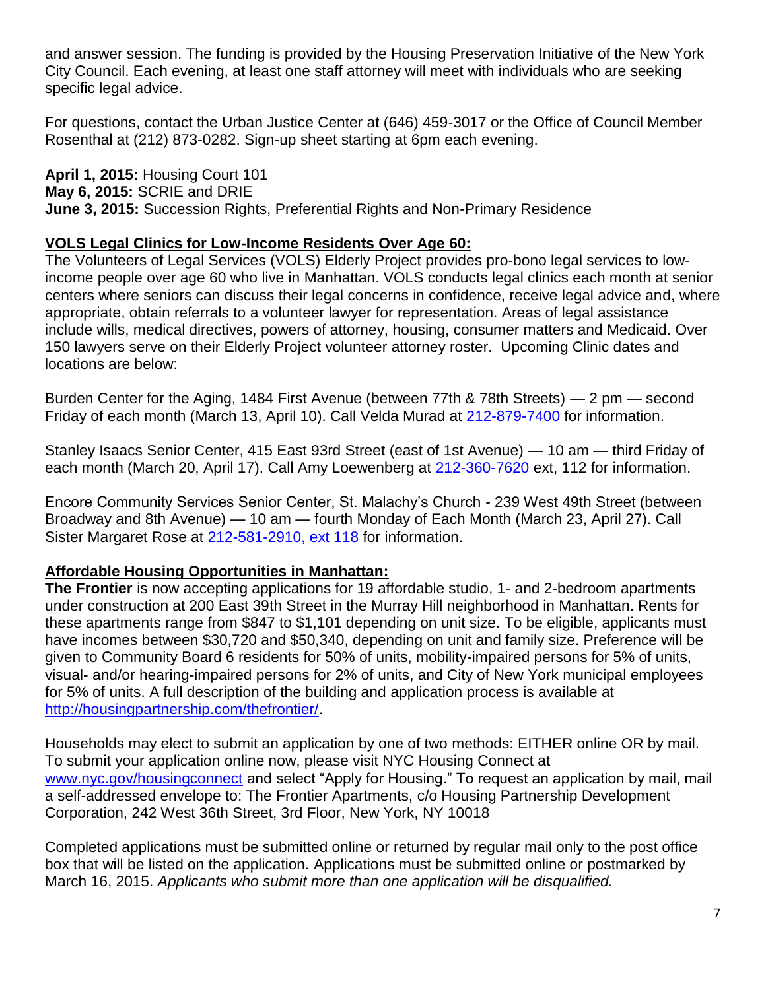and answer session. The funding is provided by the Housing Preservation Initiative of the New York City Council. Each evening, at least one staff attorney will meet with individuals who are seeking specific legal advice.

For questions, contact the Urban Justice Center at (646) 459-3017 or the Office of Council Member Rosenthal at (212) 873-0282. Sign-up sheet starting at 6pm each evening.

**April 1, 2015:** Housing Court 101 **May 6, 2015:** SCRIE and DRIE **June 3, 2015:** Succession Rights, Preferential Rights and Non-Primary Residence

#### **VOLS Legal Clinics for Low-Income Residents Over Age 60:**

The Volunteers of Legal Services (VOLS) Elderly Project provides pro-bono legal services to lowincome people over age 60 who live in Manhattan. VOLS conducts legal clinics each month at senior centers where seniors can discuss their legal concerns in confidence, receive legal advice and, where appropriate, obtain referrals to a volunteer lawyer for representation. Areas of legal assistance include wills, medical directives, powers of attorney, housing, consumer matters and Medicaid. Over 150 lawyers serve on their Elderly Project volunteer attorney roster. Upcoming Clinic dates and locations are below:

Burden Center for the Aging, 1484 First Avenue (between 77th & 78th Streets) — 2 pm — second Friday of each month (March 13, April 10). Call Velda Murad at [212-879-7400](tel:212-879-7400) for information.

Stanley Isaacs Senior Center, 415 East 93rd Street (east of 1st Avenue) — 10 am — third Friday of each month (March 20, April 17). Call Amy Loewenberg at [212-360-7620](tel:212-360-7620) ext, 112 for information.

Encore Community Services Senior Center, St. Malachy's Church - 239 West 49th Street (between Broadway and 8th Avenue) — 10 am — fourth Monday of Each Month (March 23, April 27). Call Sister Margaret Rose at [212-581-2910, ext 118](tel:212-581-2910%2C%20ext%20118) for information.

#### **Affordable Housing Opportunities in Manhattan:**

**The Frontier** is now accepting applications for 19 affordable studio, 1- and 2-bedroom apartments under construction at 200 East 39th Street in the Murray Hill neighborhood in Manhattan. Rents for these apartments range from \$847 to \$1,101 depending on unit size. To be eligible, applicants must have incomes between \$30,720 and \$50,340, depending on unit and family size. Preference will be given to Community Board 6 residents for 50% of units, mobility-impaired persons for 5% of units, visual- and/or hearing-impaired persons for 2% of units, and City of New York municipal employees for 5% of units. A full description of the building and application process is available at [http://housingpartnership.com/thefrontier/.](http://housingpartnership.com/thefrontier/)

Households may elect to submit an application by one of two methods: EITHER online OR by mail. To submit your application online now, please visit NYC Housing Connect at [www.nyc.gov/housingconnect](http://www.nyc.gov/housingconnect) and select "Apply for Housing." To request an application by mail, mail a self-addressed envelope to: The Frontier Apartments, c/o Housing Partnership Development Corporation, 242 West 36th Street, 3rd Floor, New York, NY 10018

Completed applications must be submitted online or returned by regular mail only to the post office box that will be listed on the application. Applications must be submitted online or postmarked by March 16, 2015. *Applicants who submit more than one application will be disqualified.*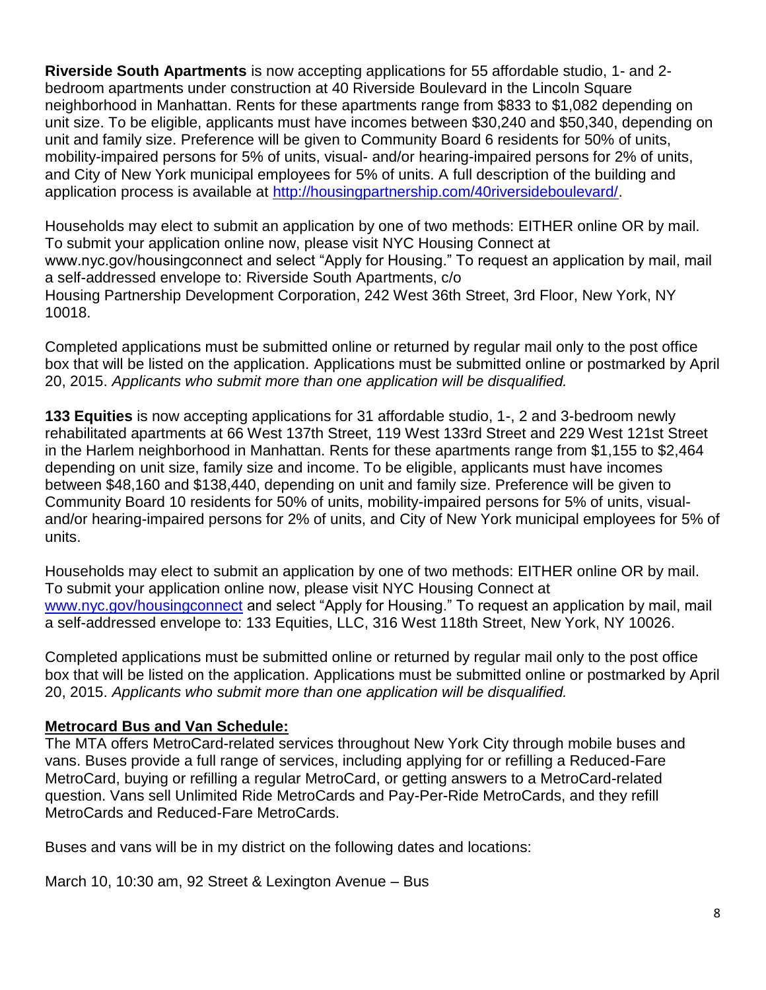**Riverside South Apartments** is now accepting applications for 55 affordable studio, 1- and 2 bedroom apartments under construction at 40 Riverside Boulevard in the Lincoln Square neighborhood in Manhattan. Rents for these apartments range from \$833 to \$1,082 depending on unit size. To be eligible, applicants must have incomes between \$30,240 and \$50,340, depending on unit and family size. Preference will be given to Community Board 6 residents for 50% of units, mobility-impaired persons for 5% of units, visual- and/or hearing-impaired persons for 2% of units, and City of New York municipal employees for 5% of units. A full description of the building and application process is available at [http://housingpartnership.com/40riversideboulevard/.](http://housingpartnership.com/40riversideboulevard/)

Households may elect to submit an application by one of two methods: EITHER online OR by mail. To submit your application online now, please visit NYC Housing Connect at www.nyc.gov/housingconnect and select "Apply for Housing." To request an application by mail, mail a self-addressed envelope to: Riverside South Apartments, c/o Housing Partnership Development Corporation, 242 West 36th Street, 3rd Floor, New York, NY 10018.

Completed applications must be submitted online or returned by regular mail only to the post office box that will be listed on the application. Applications must be submitted online or postmarked by April 20, 2015. *Applicants who submit more than one application will be disqualified.*

**133 Equities** is now accepting applications for 31 affordable studio, 1-, 2 and 3-bedroom newly rehabilitated apartments at 66 West 137th Street, 119 West 133rd Street and 229 West 121st Street in the Harlem neighborhood in Manhattan. Rents for these apartments range from \$1,155 to \$2,464 depending on unit size, family size and income. To be eligible, applicants must have incomes between \$48,160 and \$138,440, depending on unit and family size. Preference will be given to Community Board 10 residents for 50% of units, mobility-impaired persons for 5% of units, visualand/or hearing-impaired persons for 2% of units, and City of New York municipal employees for 5% of units.

Households may elect to submit an application by one of two methods: EITHER online OR by mail. To submit your application online now, please visit NYC Housing Connect at [www.nyc.gov/housingconnect](http://www.nyc.gov/housingconnect) and select "Apply for Housing." To request an application by mail, mail a self-addressed envelope to: 133 Equities, LLC, 316 West 118th Street, New York, NY 10026.

Completed applications must be submitted online or returned by regular mail only to the post office box that will be listed on the application. Applications must be submitted online or postmarked by April 20, 2015. *Applicants who submit more than one application will be disqualified.*

#### **Metrocard Bus and Van Schedule:**

The MTA offers MetroCard-related services throughout New York City through mobile buses and vans. Buses provide a full range of services, including applying for or refilling a Reduced-Fare MetroCard, buying or refilling a regular MetroCard, or getting answers to a MetroCard-related question. Vans sell Unlimited Ride MetroCards and Pay-Per-Ride MetroCards, and they refill MetroCards and Reduced-Fare MetroCards.

Buses and vans will be in my district on the following dates and locations:

March 10, 10:30 am, 92 Street & Lexington Avenue – Bus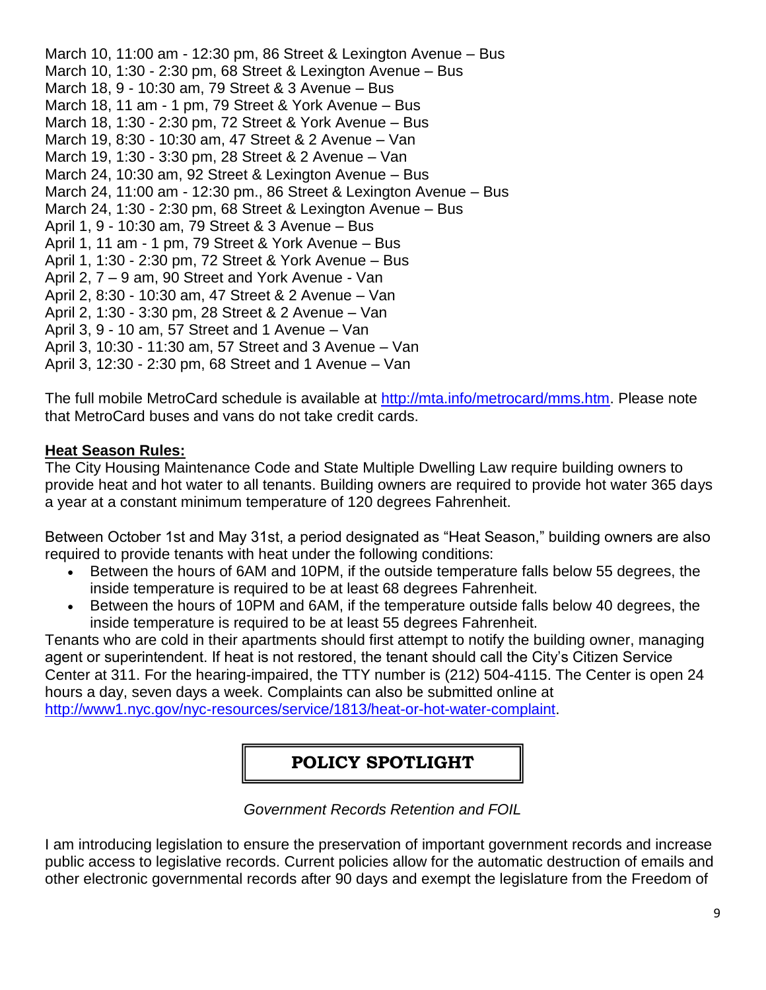March 10, 11:00 am - 12:30 pm, 86 Street & Lexington Avenue – Bus March 10, 1:30 - 2:30 pm, 68 Street & Lexington Avenue – Bus March 18, 9 - 10:30 am, 79 Street & 3 Avenue – Bus March 18, 11 am - 1 pm, 79 Street & York Avenue – Bus March 18, 1:30 - 2:30 pm, 72 Street & York Avenue – Bus March 19, 8:30 - 10:30 am, 47 Street & 2 Avenue – Van March 19, 1:30 - 3:30 pm, 28 Street & 2 Avenue – Van March 24, 10:30 am, 92 Street & Lexington Avenue – Bus March 24, 11:00 am - 12:30 pm., 86 Street & Lexington Avenue – Bus March 24, 1:30 - 2:30 pm, 68 Street & Lexington Avenue – Bus April 1, 9 - 10:30 am, 79 Street & 3 Avenue – Bus April 1, 11 am - 1 pm, 79 Street & York Avenue – Bus April 1, 1:30 - 2:30 pm, 72 Street & York Avenue – Bus April 2, 7 – 9 am, 90 Street and York Avenue - Van April 2, 8:30 - 10:30 am, 47 Street & 2 Avenue – Van April 2, 1:30 - 3:30 pm, 28 Street & 2 Avenue – Van April 3, 9 - 10 am, 57 Street and 1 Avenue – Van April 3, 10:30 - 11:30 am, 57 Street and 3 Avenue – Van April 3, 12:30 - 2:30 pm, 68 Street and 1 Avenue – Van

The full mobile MetroCard schedule is available at [http://mta.info/metrocard/mms.htm.](http://mta.info/metrocard/mms.htm) Please note that MetroCard buses and vans do not take credit cards.

#### **Heat Season Rules:**

The City Housing Maintenance Code and State Multiple Dwelling Law require building owners to provide heat and hot water to all tenants. Building owners are required to provide hot water 365 days a year at a constant minimum temperature of 120 degrees Fahrenheit.

Between October 1st and May 31st, a period designated as "Heat Season," building owners are also required to provide tenants with heat under the following conditions:

- Between the hours of 6AM and 10PM, if the outside temperature falls below 55 degrees, the inside temperature is required to be at least 68 degrees Fahrenheit.
- Between the hours of 10PM and 6AM, if the temperature outside falls below 40 degrees, the inside temperature is required to be at least 55 degrees Fahrenheit.

Tenants who are cold in their apartments should first attempt to notify the building owner, managing agent or superintendent. If heat is not restored, the tenant should call the City's Citizen Service Center at 311. For the hearing-impaired, the TTY number is [\(212\) 504-4115.](tel:%28212%29%20504-4115) The Center is open 24 hours a day, seven days a week. Complaints can also be submitted online at [http://www1.nyc.gov/nyc-resources/service/1813/heat-or-hot-water-complaint.](http://www1.nyc.gov/nyc-resources/service/1813/heat-or-hot-water-complaint)

# **POLICY SPOTLIGHT**

#### *Government Records Retention and FOIL*

I am introducing legislation to ensure the preservation of important government records and increase public access to legislative records. Current policies allow for the automatic destruction of emails and other electronic governmental records after 90 days and exempt the legislature from the Freedom of